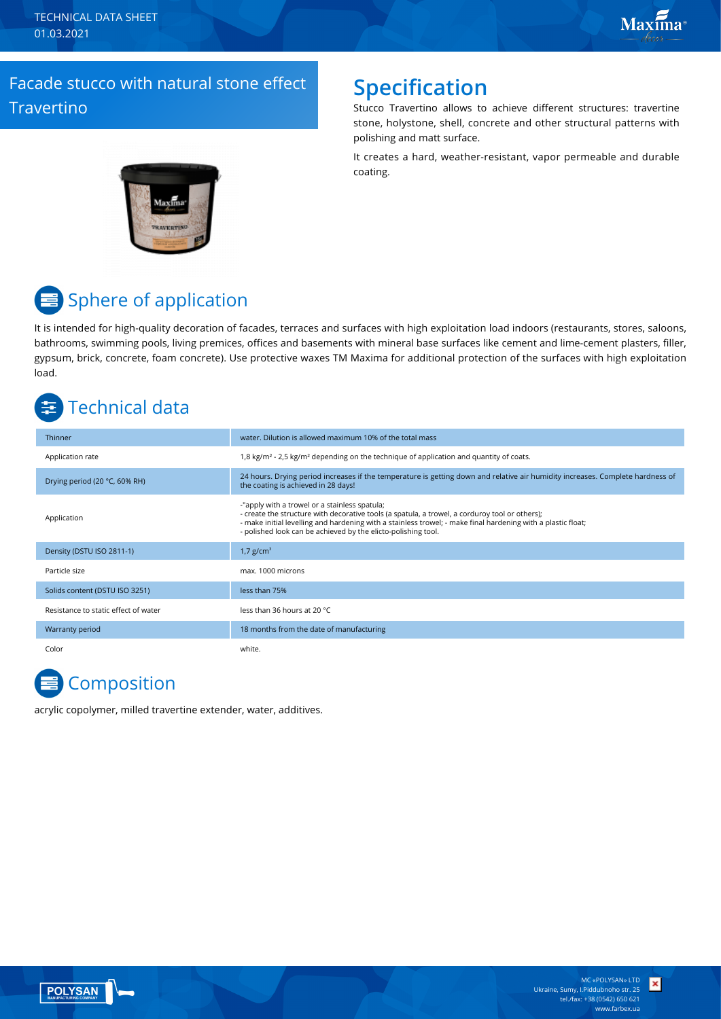TECHNICAL DATA SHEET 01.03.2021

## Facade stucco with natural stone effect **Travertino**

## **Specification**

Stucco Travertino allows to achieve different structures: travertine stone, holystone, shell, concrete and other structural patterns with polishing and matt surface.

It creates a hard, weather-resistant, vapor permeable and durable coating.



# $\equiv$  Sphere of application

It is intended for high-quality decoration of facades, terraces and surfaces with high exploitation load indoors (restaurants, stores, saloons, bathrooms, swimming pools, living premices, offices and basements with mineral base surfaces like cement and lime-cement plasters, filler, gypsum, brick, concrete, foam concrete). Use protective waxes TM Maxima for additional protection of the surfaces with high exploitation load.

## Technical data

| Thinner                              | water. Dilution is allowed maximum 10% of the total mass                                                                                                                                                                                                                                                                         |
|--------------------------------------|----------------------------------------------------------------------------------------------------------------------------------------------------------------------------------------------------------------------------------------------------------------------------------------------------------------------------------|
| Application rate                     | 1,8 kg/m <sup>2</sup> - 2,5 kg/m <sup>2</sup> depending on the technique of application and quantity of coats.                                                                                                                                                                                                                   |
| Drying period (20 °C, 60% RH)        | 24 hours. Drying period increases if the temperature is getting down and relative air humidity increases. Complete hardness of<br>the coating is achieved in 28 days!                                                                                                                                                            |
| Application                          | -"apply with a trowel or a stainless spatula;<br>- create the structure with decorative tools (a spatula, a trowel, a corduroy tool or others);<br>- make initial levelling and hardening with a stainless trowel; - make final hardening with a plastic float;<br>- polished look can be achieved by the elicto-polishing tool. |
| Density (DSTU ISO 2811-1)            | 1,7 $g/cm^{3}$                                                                                                                                                                                                                                                                                                                   |
| Particle size                        | max. 1000 microns                                                                                                                                                                                                                                                                                                                |
| Solids content (DSTU ISO 3251)       | less than 75%                                                                                                                                                                                                                                                                                                                    |
| Resistance to static effect of water | less than 36 hours at 20 °C.                                                                                                                                                                                                                                                                                                     |
| Warranty period                      | 18 months from the date of manufacturing                                                                                                                                                                                                                                                                                         |
| Color                                | white.                                                                                                                                                                                                                                                                                                                           |

# **Composition**

acrylic copolymer, milled travertine extender, water, additives.



×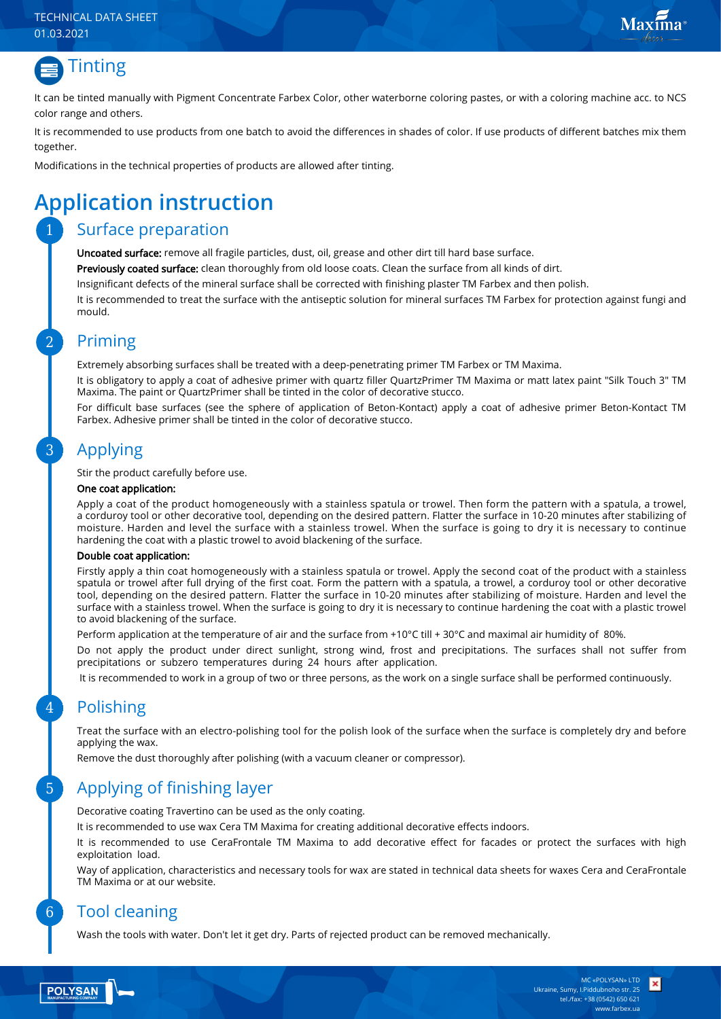#### TECHNICAL DATA SHEET 01.03.2021



It can be tinted manually with Pigment Concentrate Farbex Color, other waterborne coloring pastes, or with a coloring machine acc. to NCS color range and others.

It is recommended to use products from one batch to avoid the differences in shades of color. If use products of different batches mix them together.

Modifications in the technical properties of products are allowed after tinting.

# **Application instruction**

### Surface preparation

Uncoated surface: remove all fragile particles, dust, oil, grease and other dirt till hard base surface.

Previously coated surface: clean thoroughly from old loose coats. Clean the surface from all kinds of dirt.

Insignificant defects of the mineral surface shall be corrected with finishing plaster TM Farbex and then polish.

It is recommended to treat the surface with the antiseptic solution for mineral surfaces TM Farbex for protection against fungi and mould.

### Priming

Extremely absorbing surfaces shall be treated with a deep-penetrating primer TM Farbex or TM Maxima.

It is obligatory to apply a coat of adhesive primer with quartz filler QuartzPrimer TM Maxima or matt latex paint "Silk Touch 3" TM Maxima. The paint or QuartzPrimer shall be tinted in the color of decorative stucco.

For difficult base surfaces (see the sphere of application of Beton-Kontact) apply a coat of adhesive primer Beton-Kontact TM Farbex. Adhesive primer shall be tinted in the color of decorative stucco.

### Applying

Stir the product carefully before use.

#### One coat application:

Apply a coat of the product homogeneously with a stainless spatula or trowel. Then form the pattern with a spatula, a trowel, a corduroy tool or other decorative tool, depending on the desired pattern. Flatter the surface in 10-20 minutes after stabilizing of moisture. Harden and level the surface with a stainless trowel. When the surface is going to dry it is necessary to continue hardening the coat with a plastic trowel to avoid blackening of the surface.

#### Double coat application:

Firstly apply a thin coat homogeneously with a stainless spatula or trowel. Apply the second coat of the product with a stainless spatula or trowel after full drying of the first coat. Form the pattern with a spatula, a trowel, a corduroy tool or other decorative tool, depending on the desired pattern. Flatter the surface in 10-20 minutes after stabilizing of moisture. Harden and level the surface with a stainless trowel. When the surface is going to dry it is necessary to continue hardening the coat with a plastic trowel to avoid blackening of the surface.

Perform application at the temperature of air and the surface from +10°С till + 30°С and maximal air humidity of 80%.

Do not apply the product under direct sunlight, strong wind, frost and precipitations. The surfaces shall not suffer from precipitations or subzero temperatures during 24 hours after application.

It is recommended to work in a group of two or three persons, as the work on a single surface shall be performed continuously.

### Polishing

Treat the surface with an electro-polishing tool for the polish look of the surface when the surface is completely dry and before applying the wax.

Remove the dust thoroughly after polishing (with a vacuum cleaner or compressor).

### Applying of finishing layer

Decorative coating Travertino can be used as the only coating.

It is recommended to use wax Cera TM Maxima for creating additional decorative effects indoors.

It is recommended to use CeraFrontale TM Maxima to add decorative effect for facades or protect the surfaces with high exploitation load.

Way of application, characteristics and necessary tools for wax are stated in technical data sheets for waxes Cera and CeraFrontale TM Maxima or at our website.

### Tool cleaning

Wash the tools with water. Don't let it get dry. Parts of rejected product can be removed mechanically.

6

5

 $\Delta$ 

3

2

1